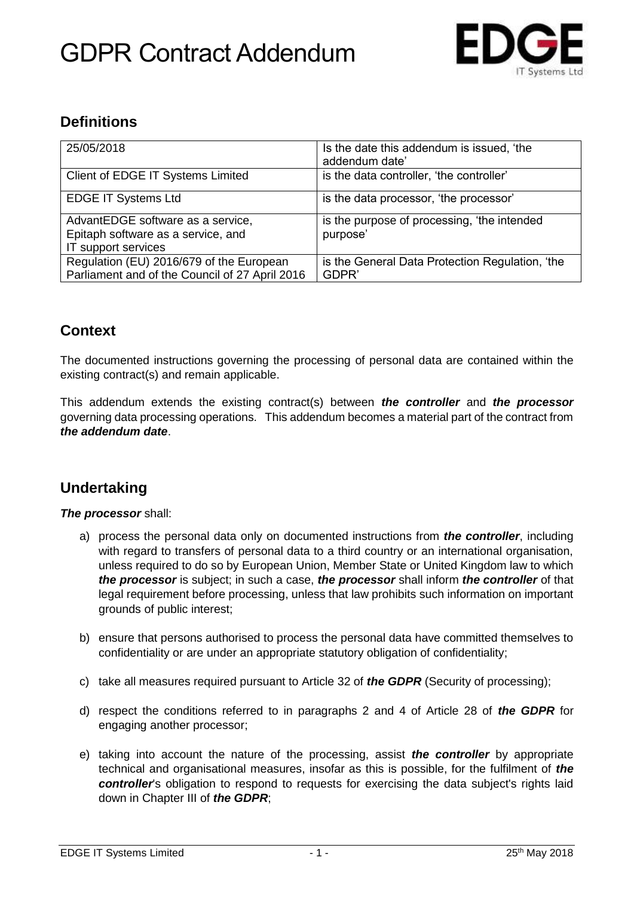# GDPR Contract Addendum



### **Definitions**

| 25/05/2018                                                                                     | Is the date this addendum is issued, 'the<br>addendum date' |
|------------------------------------------------------------------------------------------------|-------------------------------------------------------------|
| Client of EDGE IT Systems Limited                                                              | is the data controller, 'the controller'                    |
| <b>EDGE IT Systems Ltd</b>                                                                     | is the data processor, 'the processor'                      |
| AdvantEDGE software as a service,<br>Epitaph software as a service, and<br>IT support services | is the purpose of processing, 'the intended<br>purpose'     |
| Regulation (EU) 2016/679 of the European<br>Parliament and of the Council of 27 April 2016     | is the General Data Protection Regulation, 'the<br>GDPR'    |

### **Context**

The documented instructions governing the processing of personal data are contained within the existing contract(s) and remain applicable.

This addendum extends the existing contract(s) between *the controller* and *the processor* governing data processing operations. This addendum becomes a material part of the contract from *the addendum date*.

#### **Undertaking**

*The processor* shall:

- a) process the personal data only on documented instructions from *the controller*, including with regard to transfers of personal data to a third country or an international organisation, unless required to do so by European Union, Member State or United Kingdom law to which *the processor* is subject; in such a case, *the processor* shall inform *the controller* of that legal requirement before processing, unless that law prohibits such information on important grounds of public interest;
- b) ensure that persons authorised to process the personal data have committed themselves to confidentiality or are under an appropriate statutory obligation of confidentiality;
- c) take all measures required pursuant to Article 32 of *the GDPR* (Security of processing);
- d) respect the conditions referred to in paragraphs 2 and 4 of Article 28 of *the GDPR* for engaging another processor;
- e) taking into account the nature of the processing, assist *the controller* by appropriate technical and organisational measures, insofar as this is possible, for the fulfilment of *the controller*'s obligation to respond to requests for exercising the data subject's rights laid down in Chapter III of *the GDPR*;